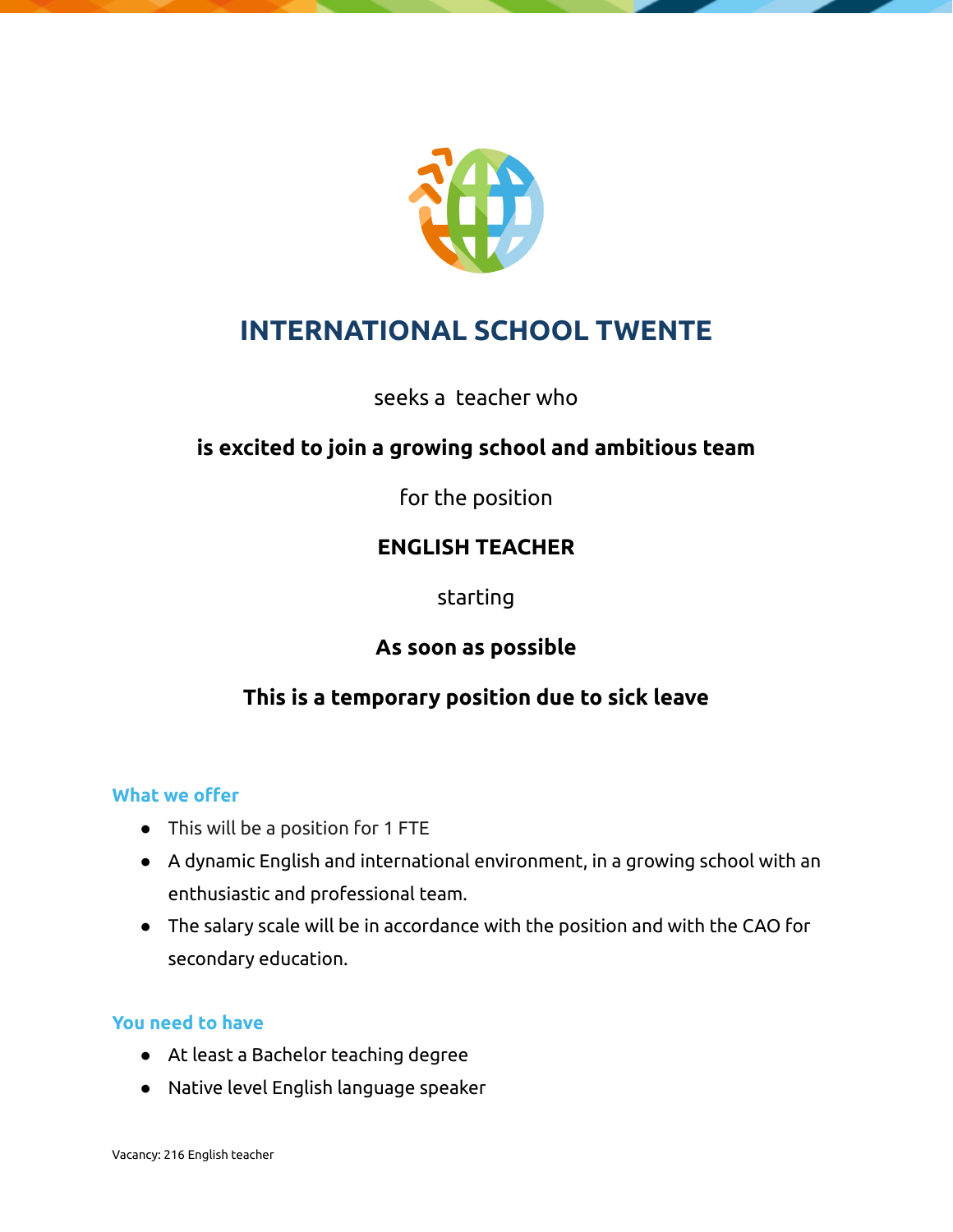

## **INTERNATIONAL SCHOOL TWENTE**

seeks a teacher who

## **is excited to join a growing school and ambitious team**

for the position

### **ENGLISH TEACHER**

starting

### **As soon as possible**

## **This is a temporary position due to sick leave**

#### **What we offer**

- This will be a position for 1 FTE
- A dynamic English and international environment, in a growing school with an enthusiastic and professional team.
- The salary scale will be in accordance with the position and with the CAO for secondary education.

#### **You need to have**

- At least a Bachelor teaching degree
- Native level English language speaker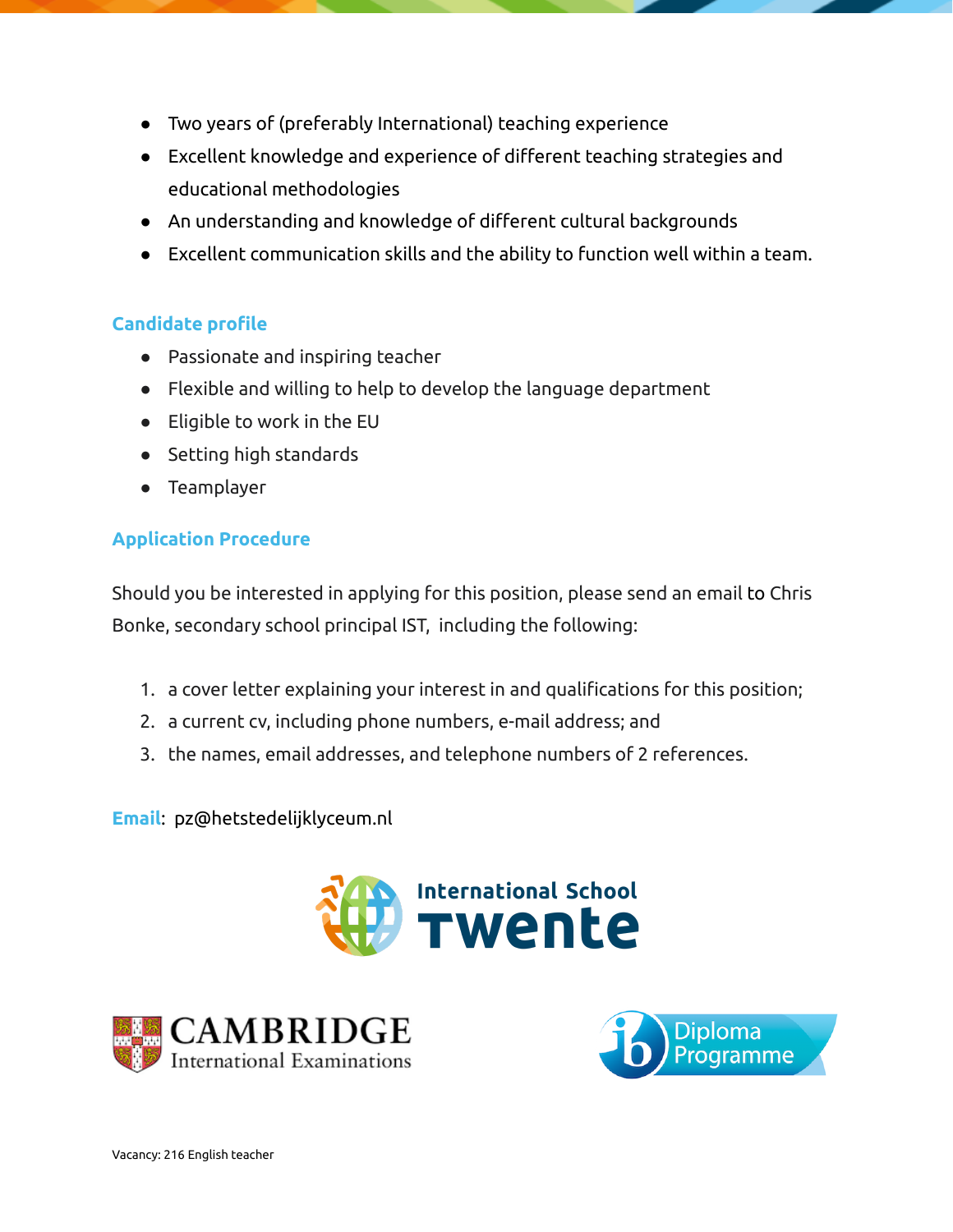- Two years of (preferably International) teaching experience
- Excellent knowledge and experience of different teaching strategies and educational methodologies
- An understanding and knowledge of different cultural backgrounds
- Excellent communication skills and the ability to function well within a team.

#### **Candidate profile**

- Passionate and inspiring teacher
- Flexible and willing to help to develop the language department
- Eligible to work in the EU
- Setting high standards
- Teamplayer

#### **Application Procedure**

Should you be interested in applying for this position, please send an email to Chris Bonke, secondary school principal IST, including the following:

- 1. a cover letter explaining your interest in and qualifications for this position;
- 2. a current cv, including phone numbers, e-mail address; and
- 3. the names, email addresses, and telephone numbers of 2 references.

**Email**: pz@hetstedelijklyceum.nl